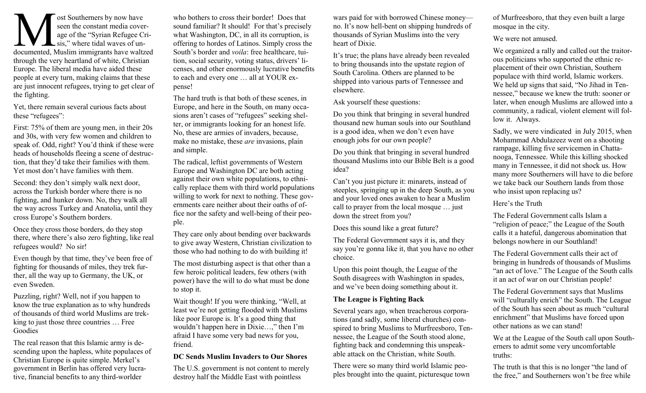ost Southerners by now have<br>seen the constant media cover-<br>age of the "Syrian Refugee Cri-<br>documented, Muslim immigrants have waltzed ost Southerners by now have seen the constant media coverage of the "Syrian Refugee Cri- $\sum$  sis," where tidal waves of unthrough the very heartland of white, Christian Europe. The liberal media have aided these people at every turn, making claims that these are just innocent refugees, trying to get clear of the fighting.

Yet, there remain several curious facts about these "refugees":

First: 75% of them are young men, in their 20s and 30s, with very few women and children to speak of. Odd, right? You'd think if these were heads of households fleeing a scene of destruction, that they'd take their families with them. Yet most don't have families with them.

Second: they don't simply walk next door, across the Turkish border where there is no fighting, and hunker down. No, they walk all the way across Turkey and Anatolia, until they cross Europe's Southern borders.

Once they cross those borders, do they stop there, where there's also zero fighting, like real refugees would? No sir!

Even though by that time, they've been free of fighting for thousands of miles, they trek further, all the way up to Germany, the UK, or even Sweden.

Puzzling, right? Well, not if you happen to know the true explanation as to why hundreds of thousands of third world Muslims are trekking to just those three countries … Free Goodies

The real reason that this Islamic army is descending upon the hapless, white populaces of Christian Europe is quite simple. Merkel's government in Berlin has offered very lucrative, financial benefits to any third-worlder

who bothers to cross their border! Does that sound familiar? It should! For that's precisely what Washington, DC, in all its corruption, is offering to hordes of Latinos. Simply cross the South's border and *voila*: free healthcare, tuition, social security, voting status, drivers' licenses, and other enormously lucrative benefits to each and every one … all at YOUR expense!

The hard truth is that both of these scenes, in Europe, and here in the South, on many occasions aren't cases of "refugees" seeking shelter, or immigrants looking for an honest life. No, these are armies of invaders, because, make no mistake, these *are* invasions, plain and simple.

The radical, leftist governments of Western Europe and Washington DC are both acting against their own white populations, to ethnically replace them with third world populations willing to work for next to nothing. These governments care neither about their oaths of office nor the safety and well-being of their people.

They care only about bending over backwards to give away Western, Christian civilization to those who had nothing to do with building it!

The most disturbing aspect is that other than a few heroic political leaders, few others (with power) have the will to do what must be done to stop it.

Wait though! If you were thinking, "Well, at least we're not getting flooded with Muslims like poor Europe is. It's a good thing that wouldn't happen here in Dixie…," then I'm afraid I have some very bad news for you, friend.

## **DC Sends Muslim Invaders to Our Shores**

The U.S. government is not content to merely destroy half the Middle East with pointless

wars paid for with borrowed Chinese money no. It's now hell-bent on shipping hundreds of thousands of Syrian Muslims into the very heart of Dixie.

It's true; the plans have already been revealed to bring thousands into the upstate region of South Carolina. Others are planned to be shipped into various parts of Tennessee and elsewhere.

Ask yourself these questions:

Do you think that bringing in several hundred thousand new human souls into our Southland is a good idea, when we don't even have enough jobs for our own people?

Do you think that bringing in several hundred thousand Muslims into our Bible Belt is a good idea?

Can't you just picture it: minarets, instead of steeples, springing up in the deep South, as you and your loved ones awaken to hear a Muslim call to prayer from the local mosque … just down the street from you?

Does this sound like a great future?

The Federal Government says it is, and they say you're gonna like it, that you have no other choice.

Upon this point though, the League of the South disagrees with Washington in spades, and we've been doing something about it.

## **The League is Fighting Back**

Several years ago, when treacherous corporations (and sadly, some liberal churches) conspired to bring Muslims to Murfreesboro, Tennessee, the League of the South stood alone, fighting back and condemning this unspeakable attack on the Christian, white South.

There were so many third world Islamic peoples brought into the quaint, picturesque town of Murfreesboro, that they even built a large mosque in the city.

We were not amused.

We organized a rally and called out the traitorous politicians who supported the ethnic replacement of their own Christian, Southern populace with third world, Islamic workers. We held up signs that said, "No Jihad in Tennessee," because we knew the truth: sooner or later, when enough Muslims are allowed into a community, a radical, violent element will follow it. Always.

Sadly, we were vindicated in July 2015, when Mohammad Abdulazeez went on a shooting rampage, killing five servicemen in Chattanooga, Tennessee. While this killing shocked many in Tennessee, it did not shock us. How many more Southerners will have to die before we take back our Southern lands from those who insist upon replacing us?

Here's the Truth

The Federal Government calls Islam a "religion of peace;" the League of the South calls it a hateful, dangerous abomination that belongs nowhere in our Southland!

The Federal Government calls their act of bringing in hundreds of thousands of Muslims "an act of love." The League of the South calls it an act of war on our Christian people!

The Federal Government says that Muslims will "culturally enrich" the South. The League of the South has seen about as much "cultural enrichment" that Muslims have forced upon other nations as we can stand!

We at the League of the South call upon Southerners to admit some very uncomfortable truths:

The truth is that this is no longer "the land of the free," and Southerners won't be free while